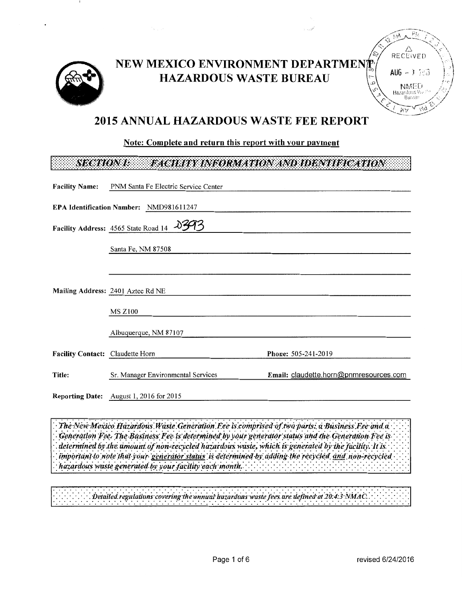

# NEW MEXICO ENVIRONMENT DEPARTMEN **HAZARDOUS WASTE BUREAU**



## **2015 ANNUAL HAZARDOUS WASTE FEE REPORT**

## Note: Complete and return this report with your payment

### **SECTION I:** FACILITY INFORMATION AND IDENTIFICATION

| <b>Facility Name:</b>            | PNM Santa Fe Electric Service Center           |                                        |
|----------------------------------|------------------------------------------------|----------------------------------------|
|                                  | <b>EPA Identification Number: NMD981611247</b> |                                        |
|                                  | Facility Address: 4565 State Road 14           |                                        |
|                                  | Santa Fe, NM 87508                             |                                        |
|                                  |                                                |                                        |
|                                  | Mailing Address: 2401 Aztec Rd NE              |                                        |
|                                  | <b>MS Z100</b>                                 |                                        |
|                                  | Albuquerque, NM 87107                          |                                        |
| Facility Contact: Claudette Horn |                                                | Phone: 505-241-2019                    |
| Title:                           | Sr. Manager Environmental Services             | Email: claudette.horn@pnmresources.com |
|                                  | <b>Reporting Date:</b> August 1, 2016 for 2015 |                                        |

The New Mexico Hazardous Waste Generation Fee is comprised of two parts: a Business Fee and a Generation Fee. The Business Fee is determined by your generator status and the Generation Fee is determined by the amount of non-recycled hazardous waste, which is generated by the facility. It is important to note that your generator status is determined by adding the recycled and non-recycled hazardous waste generated by your facility each month.

Detailed regulations covering the annual hazardons waste fees are defined at 20:4:3 NMAC.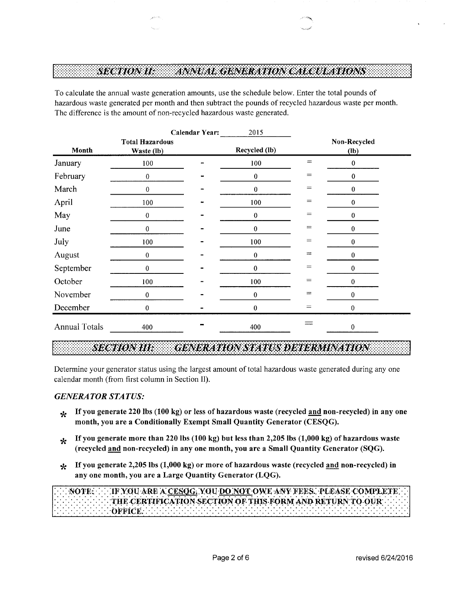### **SECTION IF:** ANNUAL GENERATION CALCULATIONS

To calculate the annual waste generation amounts, use the schedule below. Enter the total pounds of hazardous waste generated per month and then subtract the pounds of recycled hazardous waste per month. The difference is the amount of non-recycled hazardous waste generated.

|                      |                                      | <b>Calendar Year:</b> | 2015          |                                |                        |  |
|----------------------|--------------------------------------|-----------------------|---------------|--------------------------------|------------------------|--|
| Month                | <b>Total Hazardous</b><br>Waste (lb) |                       | Recycled (lb) |                                | Non-Recycled<br>$(lb)$ |  |
| January              | 100                                  |                       | 100           | $\qquad \qquad =$              | $\pmb{0}$              |  |
| February             | $\boldsymbol{0}$                     |                       | $\pmb{0}$     | $=$                            | $\boldsymbol{0}$       |  |
| March                | $\boldsymbol{0}$                     |                       | $\pmb{0}$     | $\!\!\!=\!\!\!$                | $\pmb{0}$              |  |
| April                | 100                                  |                       | 100           | $=$                            | $\bf{0}$               |  |
| May                  | $\pmb{0}$                            |                       | $\pmb{0}$     | $=$                            | $\pmb{0}$              |  |
| June                 | $\mathbf{0}$                         |                       | $\pmb{0}$     | $=$                            | $\bf{0}$               |  |
| July                 | 100                                  |                       | 100           | $=$                            | $\pmb{0}$              |  |
| August               | $\bf{0}$                             |                       | $\pmb{0}$     | $=$                            | $\bf{0}$               |  |
| September            | 0                                    |                       | $\bf{0}$      | $=$                            | $\pmb{0}$              |  |
| October              | 100                                  |                       | 100           | $=$                            | 0                      |  |
| November             | 0                                    |                       | $\pmb{0}$     | $\qquad \qquad =\qquad \qquad$ | $\bf{0}$               |  |
| December             | 0                                    |                       | 0             | $=$                            | 0                      |  |
| <b>Annual Totals</b> | 400                                  |                       | 400           |                                | $\boldsymbol{0}$       |  |

### **SECTION III: GENERATION STATUS DETERMINATION**

Determine your generator status using the largest amount of total hazardous waste generated during any one calendar month (from first column in Section II).

### *GENERATOR STATUS:*

- **\*** If you generate 220 lbs (100 kg) or less of hazardous waste (recycled and non-recycled) in any one month, you are a Conditionally Exempt Small Quantity Generator (CESQG).
- **\*** If you generate more than 220 lbs (100 kg) but less than 2,205 lbs (1,000 kg) of hazardous waste (recycled and non-recycled) in any one month, you are a Small Quantity Generator (SQG).
- \* If you generate 2,205 lbs (1,000 kg) or more of hazardous waste (recycled and non-recycled) in any one month, you are a Large Quantity Generator (LQG).

|  |  |  |  |  |  |  |  |  |  |  |  |  |  |  |  |  |  |  |  |  |  |  |  |  |  |  |  |  |  | $\mathcal{F}(\mathcal{F}(\mathcal{F}(\mathcal{F}(\mathcal{F}(\mathcal{F}(\mathcal{F}(\mathcal{F}(\mathcal{F}(\mathcal{F}(\mathcal{F}(\mathcal{F}(\mathcal{F}(\mathcal{F}(\mathcal{F}(\mathcal{F}(\mathcal{F}(\mathcal{F}(\mathcal{F}(\mathcal{F}(\mathcal{F}(\mathcal{F}(\mathcal{F}(\mathcal{F}(\mathcal{F}(\mathcal{F}(\mathcal{F}(\mathcal{F}(\mathcal{F}(\mathcal{F}(\mathcal{F}(\mathcal{F}(\mathcal{F}(\mathcal{F}(\mathcal{F}(\mathcal{F}(\mathcal{$ |  |
|--|--|--|--|--|--|--|--|--|--|--|--|--|--|--|--|--|--|--|--|--|--|--|--|--|--|--|--|--|--|-------------------------------------------------------------------------------------------------------------------------------------------------------------------------------------------------------------------------------------------------------------------------------------------------------------------------------------------------------------------------------------------------------------------------------------------------------------|--|
|  |  |  |  |  |  |  |  |  |  |  |  |  |  |  |  |  |  |  |  |  |  |  |  |  |  |  |  |  |  |                                                                                                                                                                                                                                                                                                                                                                                                                                                             |  |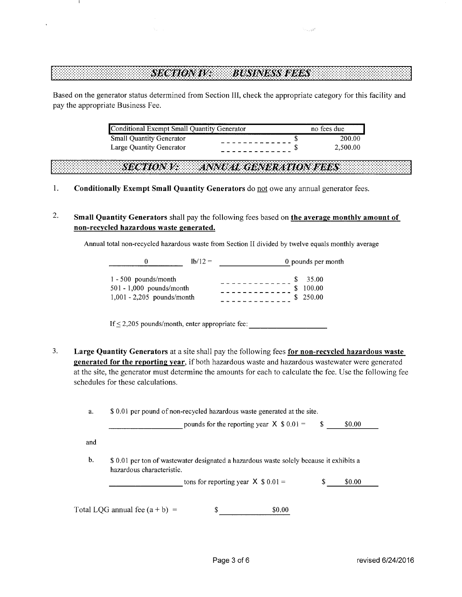### **SECTION IV: BUSINESS FEES**

Based on the generator status determined from Section III, check the appropriate category for this facility and pay the appropriate Business Fee.

| Conditional Exempt Small Quantity Generator | no fees due |
|---------------------------------------------|-------------|
| <b>Small Quantity Generator</b>             | 200.00      |
| Large Quantity Generator                    | 2.500.00    |

**SECTION V.** ANNUAL GENERATION FEES

- 1. **Conditionally Exempt Small Quantity Generators** do not owe any annual generator fees.
- 2. **Small Quantity Generators** shall pay the following fees based on **the average monthly amount of non-recycled hazardous waste generated.**

Annual total non-recycled hazardous waste from Section II divided by twelve equals monthly average

|                                                                                      | $1h/12 =$ | 0 pounds per month          |
|--------------------------------------------------------------------------------------|-----------|-----------------------------|
| $1 - 500$ pounds/month<br>$501 - 1,000$ pounds/month<br>$1,001 - 2,205$ pounds/month |           | 35.00<br>100.00<br>\$250.00 |

If  $\leq$  2,205 pounds/month, enter appropriate fee:

3. **Large Quantity Generators** at a site shall pay the following fees **for non-recycled hazardous waste generated for the reporting year,** if both hazardous waste and hazardous wastewater were generated at the site, the generator must determine the amounts for each to calculate the fee. Use the following fee schedules for these calculations.

|     |                           | pounds for the reporting year $X$ \$ 0.01 =                                             | \$. | \$0.00 |
|-----|---------------------------|-----------------------------------------------------------------------------------------|-----|--------|
| and |                           |                                                                                         |     |        |
|     |                           |                                                                                         |     |        |
|     |                           | \$ 0.01 per ton of wastewater designated a hazardous waste solely because it exhibits a |     |        |
|     | hazardous characteristic. |                                                                                         |     |        |
|     |                           |                                                                                         |     |        |
|     |                           | tons for reporting year $X$ \$ 0.01 =                                                   | S   | \$0.00 |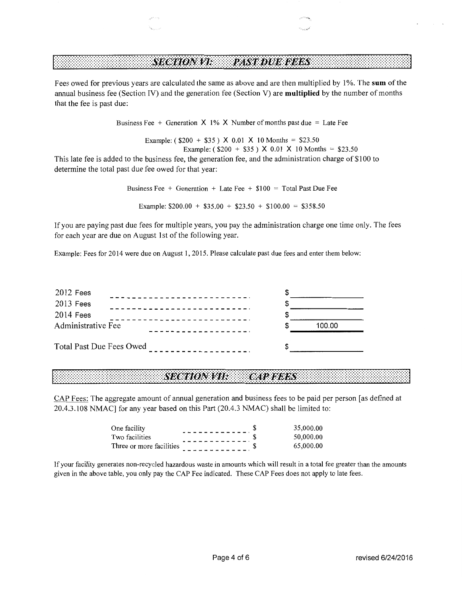### **PAST DUE FEES SECTION VI.**

Fees owed for previous years are calculated the same as above and are then multiplied by 1 %. The **sum** of the annual business fee (Section IV) and the generation fee (Section V) are **multiplied** by the number of months that the fee is past due:

Business Fee + Generation  $X$  1% X Number of months past due = Late Fee

Example: ( $$200 + $35$ ) X 0.01 X 10 Months = \$23.50 Example: ( $$200 + $35$ ) X 0.01 X 10 Months = \$23.50

This late fee is added to the business fee, the generation fee, and the administration charge of \$100 to determine the total past due fee owed for that year:

> Business Fee + Generation + Late Fee +  $$100 = Total Past Due Fe$ Example:  $$200.00 + $35.00 + $23.50 + $100.00 = $358.50$

If you are paying past due fees for multiple years, you pay the administration charge one time only. The fees for each year are due on August 1st of the following year.

Example: Fees for 2014 were due on August 1, 2015. Please calculate past due fees and enter them below:



#### **CAP FEES** *SECTION VII:*

CAP Fees: The aggregate amount of annual generation and business fees to be paid per person [as defined at 20.4.3.108 NMAC] for any year based on this Part (20.4.3 NMAC) shall be limited to:

| One facility             |  | 35,000.00 |
|--------------------------|--|-----------|
| Two facilities           |  | 50,000.00 |
| Three or more facilities |  | 65,000.00 |

If your facility generates non-recycled hazardous waste in amounts which will result in a total fee greater than the amounts given in the above table, you only pay the CAP Fee indicated. These CAP Fees does not apply to late fees.